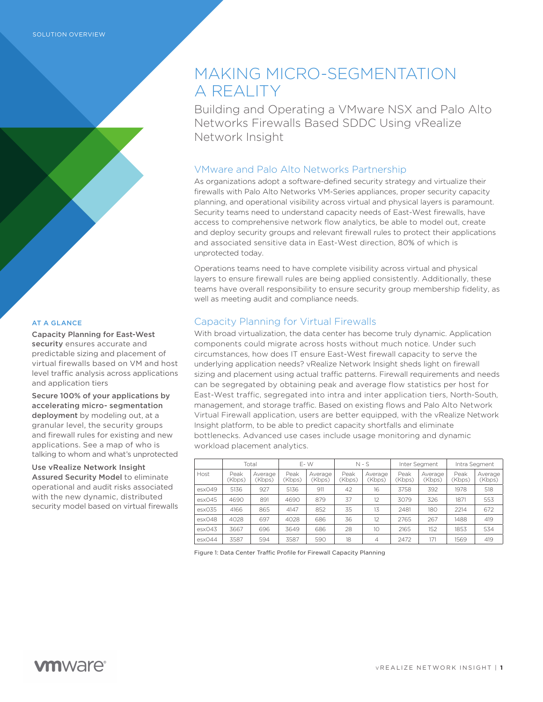#### AT A GLANCE

Capacity Planning for East-West security ensures accurate and predictable sizing and placement of virtual firewalls based on VM and host level traffic analysis across applications and application tiers

Secure 100% of your applications by accelerating micro- segmentation deployment by modeling out, at a granular level, the security groups and firewall rules for existing and new applications. See a map of who is talking to whom and what's unprotected

Use vRealize Network Insight Assured Security Model to eliminate operational and audit risks associated with the new dynamic, distributed security model based on virtual firewalls

# MAKING MICRO-SEGMENTATION A REALITY

Building and Operating a VMware NSX and Palo Alto Networks Firewalls Based SDDC Using vRealize Network Insight

## VMware and Palo Alto Networks Partnership

As organizations adopt a software-defined security strategy and virtualize their firewalls with Palo Alto Networks VM-Series appliances, proper security capacity planning, and operational visibility across virtual and physical layers is paramount. Security teams need to understand capacity needs of East-West firewalls, have access to comprehensive network flow analytics, be able to model out, create and deploy security groups and relevant firewall rules to protect their applications and associated sensitive data in East-West direction, 80% of which is unprotected today.

Operations teams need to have complete visibility across virtual and physical layers to ensure firewall rules are being applied consistently. Additionally, these teams have overall responsibility to ensure security group membership fidelity, as well as meeting audit and compliance needs.

## Capacity Planning for Virtual Firewalls

With broad virtualization, the data center has become truly dynamic. Application components could migrate across hosts without much notice. Under such circumstances, how does IT ensure East-West firewall capacity to serve the underlying application needs? vRealize Network Insight sheds light on firewall sizing and placement using actual traffic patterns. Firewall requirements and needs can be segregated by obtaining peak and average flow statistics per host for East-West traffic, segregated into intra and inter application tiers, North-South, management, and storage traffic. Based on existing flows and Palo Alto Network Virtual Firewall application, users are better equipped, with the vRealize Network Insight platform, to be able to predict capacity shortfalls and eliminate bottlenecks. Advanced use cases include usage monitoring and dynamic workload placement analytics.

|        | Total          |                   | E-W            |                   | $N-S$          |                   | Inter Segment  |                   | Intra Segment  |                   |
|--------|----------------|-------------------|----------------|-------------------|----------------|-------------------|----------------|-------------------|----------------|-------------------|
| Host   | Peak<br>(Kbps) | Average<br>(Kbps) | Peak<br>(Kbps) | Average<br>(Kbps) | Peak<br>(Kbps) | Average<br>(Kbps) | Peak<br>(Kbps) | Average<br>(Kbps) | Peak<br>(Kbps) | Average<br>(Kbps) |
| ex049  | 5136           | 927               | 5136           | 911               | 42             | 16                | 3758           | 392               | 1978           | 518               |
| esx045 | 4690           | 891               | 4690           | 879               | 37             | 12                | 3079           | 326               | 1871           | 553               |
| exO35  | 4166           | 865               | 4147           | 852               | 35             | 13                | 2481           | 180               | 2214           | 672               |
| esx048 | 4028           | 697               | 4028           | 686               | 36             | 12                | 2765           | 267               | 1488           | 419               |
| exO43  | 3667           | 696               | 3649           | 686               | 28             | 10                | 2165           | 152               | 1853           | 534               |
| ex044  | 3587           | 594               | 3587           | 590               | 18             | 4                 | 2472           | 171               | 1569           | 419               |

Figure 1: Data Center Traffic Profile for Firewall Capacity Planning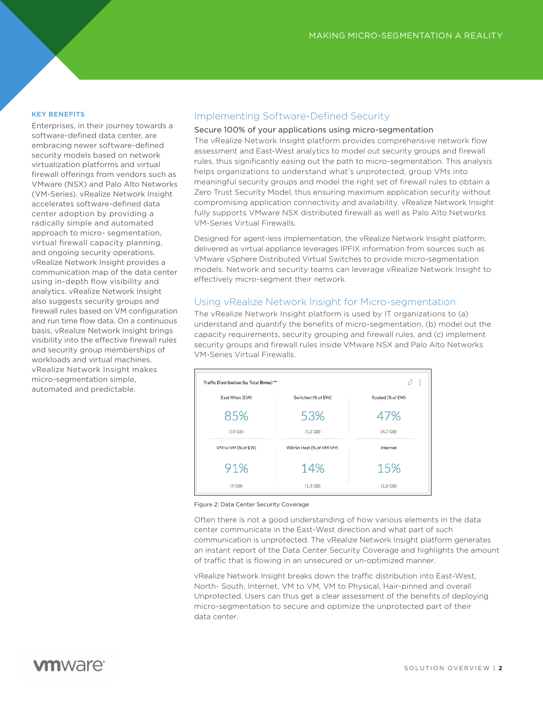#### KEY BENEFITS

Enterprises, in their journey towards a software-defined data center, are embracing newer software-defined security models based on network virtualization platforms and virtual firewall offerings from vendors such as VMware (NSX) and Palo Alto Networks (VM-Series). vRealize Network Insight accelerates software-defined data center adoption by providing a radically simple and automated approach to micro- segmentation, virtual firewall capacity planning, and ongoing security operations. vRealize Network Insight provides a communication map of the data center using in-depth flow visibility and analytics. vRealize Network Insight also suggests security groups and firewall rules based on VM configuration and run time flow data. On a continuous basis, vRealize Network Insight brings visibility into the effective firewall rules and security group memberships of workloads and virtual machines. vRealize Network Insight makes micro-segmentation simple, automated and predictable.

## Implementing Software-Defined Security

#### Secure 100% of your applications using micro-segmentation

The vRealize Network Insight platform provides comprehensive network flow assessment and East-West analytics to model out security groups and firewall rules, thus significantly easing out the path to micro-segmentation. This analysis helps organizations to understand what's unprotected, group VMs into meaningful security groups and model the right set of firewall rules to obtain a Zero Trust Security Model, thus ensuring maximum application security without compromising application connectivity and availability. vRealize Network Insight fully supports VMware NSX distributed firewall as well as Palo Alto Networks VM-Series Virtual Firewalls.

Designed for agent-less implementation, the vRealize Network Insight platform, delivered as virtual appliance leverages IPFIX information from sources such as VMware vSphere Distributed Virtual Switches to provide micro-segmentation models. Network and security teams can leverage vRealize Network Insight to effectively micro-segment their network.

### Using vRealize Network Insight for Micro-segmentation

The vRealize Network Insight platform is used by IT organizations to (a) understand and quantify the benefits of micro-segmentation, (b) model out the capacity requirements, security grouping and firewall rules, and (c) implement security groups and firewall rules inside VMware NSX and Palo Alto Networks VM-Series Virtual Firewalls.

| Traffic Distribution (by Total Bytes) **<br>ł |                          |                  |  |  |  |  |  |  |
|-----------------------------------------------|--------------------------|------------------|--|--|--|--|--|--|
| East-West (EW)                                | Switched (% of EW)       | Routed (% of EW) |  |  |  |  |  |  |
| 85%                                           | 53%                      | 47%              |  |  |  |  |  |  |
| $(10$ GB)                                     | $(5.2$ GB)               | $(4.7$ GB)       |  |  |  |  |  |  |
| VM to VM (% of EW)                            | Within Host (% of VM-VM) | Internet         |  |  |  |  |  |  |
| 91%                                           | 14%                      | 15%              |  |  |  |  |  |  |
| $(9$ GB)                                      | $(1.3$ GB)               | $(1.8$ GB)       |  |  |  |  |  |  |

Figure 2: Data Center Security Coverage

Often there is not a good understanding of how various elements in the data center communicate in the East-West direction and what part of such communication is unprotected. The vRealize Network Insight platform generates an instant report of the Data Center Security Coverage and highlights the amount of traffic that is flowing in an unsecured or un-optimized manner.

vRealize Network Insight breaks down the traffic distribution into East-West, North- South, Internet, VM to VM, VM to Physical, Hair-pinned and overall Unprotected. Users can thus get a clear assessment of the benefits of deploying micro-segmentation to secure and optimize the unprotected part of their data center.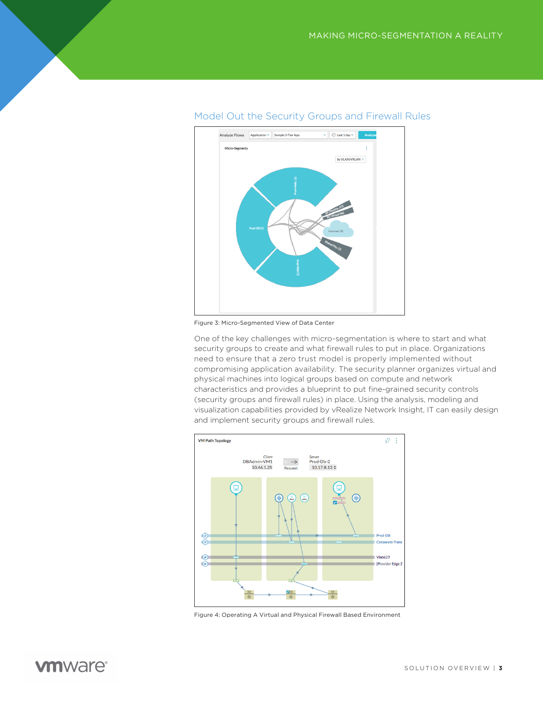

## Model Out the Security Groups and Firewall Rules

Figure 3: Micro-Segmented View of Data Center

One of the key challenges with micro-segmentation is where to start and what security groups to create and what firewall rules to put in place. Organizations need to ensure that a zero trust model is properly implemented without compromising application availability. The security planner organizes virtual and physical machines into logical groups based on compute and network characteristics and provides a blueprint to put fine-grained security controls (security groups and firewall rules) in place. Using the analysis, modeling and visualization capabilities provided by vRealize Network Insight, IT can easily design and implement security groups and firewall rules.



Figure 4: Operating A Virtual and Physical Firewall Based Environment